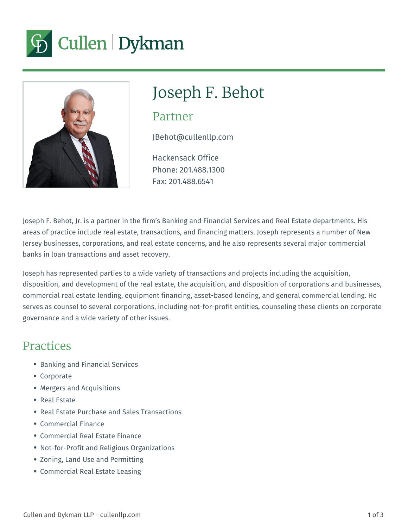



# Joseph F. Behot

#### Partner

JBehot@cullenllp.com

Hackensack Office Phone: 201.488.1300 Fax: 201.488.6541

Joseph F. Behot, Jr. is a partner in the firm's Banking and Financial Services and Real Estate departments. His areas of practice include real estate, transactions, and financing matters. Joseph represents a number of New Jersey businesses, corporations, and real estate concerns, and he also represents several major commercial banks in loan transactions and asset recovery.

Joseph has represented parties to a wide variety of transactions and projects including the acquisition, disposition, and development of the real estate, the acquisition, and disposition of corporations and businesses, commercial real estate lending, equipment financing, asset-based lending, and general commercial lending. He serves as counsel to several corporations, including not-for-profit entities, counseling these clients on corporate governance and a wide variety of other issues.

#### Practices

- Banking and Financial Services
- Corporate
- Mergers and Acquisitions
- Real Estate
- Real Estate Purchase and Sales Transactions
- Commercial Finance
- Commercial Real Estate Finance
- Not-for-Profit and Religious Organizations
- Zoning, Land Use and Permitting
- Commercial Real Estate Leasing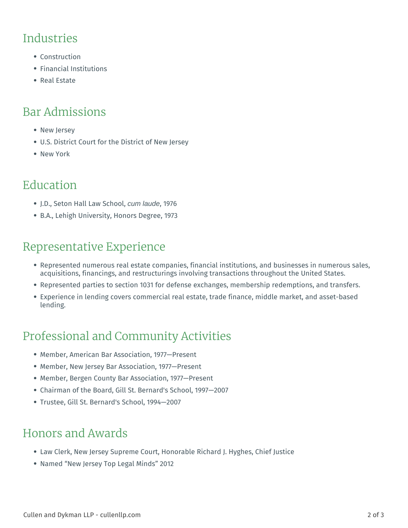#### **Industries**

- Construction
- Financial Institutions
- Real Estate

# Bar Admissions

- New Jersey
- U.S. District Court for the District of New Jersey
- New York

# Education

- J.D., Seton Hall Law School, cum laude, 1976
- B.A., Lehigh University, Honors Degree, 1973

#### Representative Experience

- Represented numerous real estate companies, financial institutions, and businesses in numerous sales, acquisitions, financings, and restructurings involving transactions throughout the United States.
- Represented parties to section 1031 for defense exchanges, membership redemptions, and transfers.
- Experience in lending covers commercial real estate, trade finance, middle market, and asset-based lending.

# Professional and Community Activities

- Member, American Bar Association, 1977—Present
- Member, New Jersey Bar Association, 1977—Present
- Member, Bergen County Bar Association, 1977—Present
- Chairman of the Board, Gill St. Bernard's School, 1997—2007
- Trustee, Gill St. Bernard's School, 1994—2007

# Honors and Awards

- Law Clerk, New Jersey Supreme Court, Honorable Richard J. Hyghes, Chief Justice
- Named "New Jersey Top Legal Minds" 2012